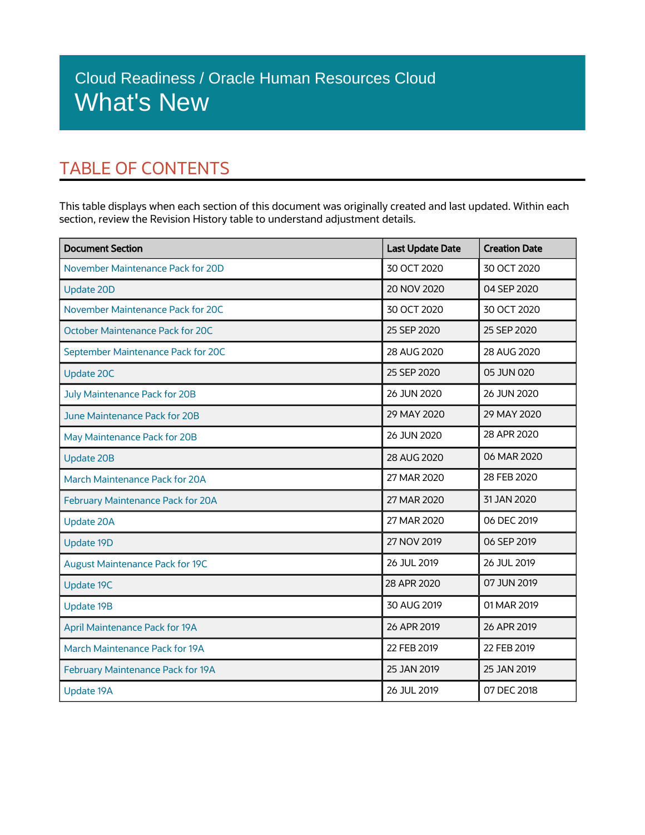## TABLE OF CONTENTS

This table displays when each section of this document was originally created and last updated. Within each section, review the Revision History table to understand adjustment details.

| <b>Document Section</b>                  | <b>Last Update Date</b> | <b>Creation Date</b> |
|------------------------------------------|-------------------------|----------------------|
| November Maintenance Pack for 20D        | 30 OCT 2020             | 30 OCT 2020          |
| <b>Update 20D</b>                        | 20 NOV 2020             | 04 SEP 2020          |
| November Maintenance Pack for 20C        | 30 OCT 2020             | 30 OCT 2020          |
| <b>October Maintenance Pack for 20C</b>  | 25 SEP 2020             | 25 SEP 2020          |
| September Maintenance Pack for 20C       | 28 AUG 2020             | 28 AUG 2020          |
| <b>Update 20C</b>                        | 25 SEP 2020             | 05 JUN 020           |
| July Maintenance Pack for 20B            | 26 JUN 2020             | 26 JUN 2020          |
| June Maintenance Pack for 20B            | 29 MAY 2020             | 29 MAY 2020          |
| May Maintenance Pack for 20B             | 26 JUN 2020             | 28 APR 2020          |
| <b>Update 20B</b>                        | 28 AUG 2020             | 06 MAR 2020          |
| March Maintenance Pack for 20A           | 27 MAR 2020             | 28 FEB 2020          |
| <b>February Maintenance Pack for 20A</b> | 27 MAR 2020             | 31 JAN 2020          |
| <b>Update 20A</b>                        | 27 MAR 2020             | 06 DEC 2019          |
| <b>Update 19D</b>                        | 27 NOV 2019             | 06 SEP 2019          |
| <b>August Maintenance Pack for 19C</b>   | 26 JUL 2019             | 26 JUL 2019          |
| <b>Update 19C</b>                        | 28 APR 2020             | 07 JUN 2019          |
| <b>Update 19B</b>                        | 30 AUG 2019             | 01 MAR 2019          |
| <b>April Maintenance Pack for 19A</b>    | 26 APR 2019             | 26 APR 2019          |
| March Maintenance Pack for 19A           | 22 FEB 2019             | 22 FEB 2019          |
| <b>February Maintenance Pack for 19A</b> | 25 JAN 2019             | 25 JAN 2019          |
| Update 19A                               | 26 JUL 2019             | 07 DEC 2018          |